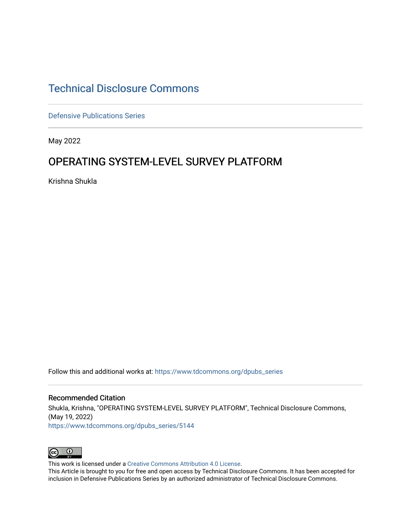# [Technical Disclosure Commons](https://www.tdcommons.org/)

[Defensive Publications Series](https://www.tdcommons.org/dpubs_series)

May 2022

# OPERATING SYSTEM-LEVEL SURVEY PLATFORM

Krishna Shukla

Follow this and additional works at: [https://www.tdcommons.org/dpubs\\_series](https://www.tdcommons.org/dpubs_series?utm_source=www.tdcommons.org%2Fdpubs_series%2F5144&utm_medium=PDF&utm_campaign=PDFCoverPages) 

Recommended Citation Shukla, Krishna, "OPERATING SYSTEM-LEVEL SURVEY PLATFORM", Technical Disclosure Commons, (May 19, 2022) [https://www.tdcommons.org/dpubs\\_series/5144](https://www.tdcommons.org/dpubs_series/5144?utm_source=www.tdcommons.org%2Fdpubs_series%2F5144&utm_medium=PDF&utm_campaign=PDFCoverPages)



This work is licensed under a [Creative Commons Attribution 4.0 License](http://creativecommons.org/licenses/by/4.0/deed.en_US).

This Article is brought to you for free and open access by Technical Disclosure Commons. It has been accepted for inclusion in Defensive Publications Series by an authorized administrator of Technical Disclosure Commons.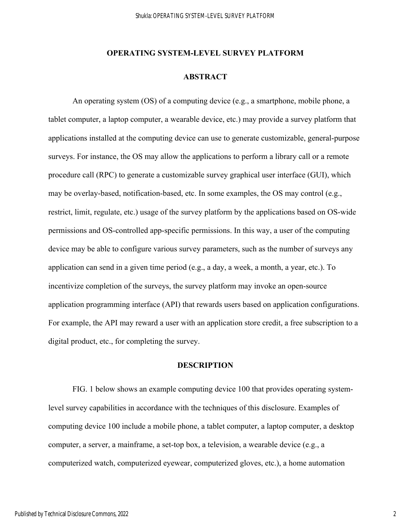## **ABSTRACT**

An operating system (OS) of a computing device (e.g., a smartphone, mobile phone, a tablet computer, a laptop computer, a wearable device, etc.) may provide a survey platform that applications installed at the computing device can use to generate customizable, general-purpose surveys. For instance, the OS may allow the applications to perform a library call or a remote procedure call (RPC) to generate a customizable survey graphical user interface (GUI), which may be overlay-based, notification-based, etc. In some examples, the OS may control (e.g., restrict, limit, regulate, etc.) usage of the survey platform by the applications based on OS-wide permissions and OS-controlled app-specific permissions. In this way, a user of the computing device may be able to configure various survey parameters, such as the number of surveys any application can send in a given time period (e.g., a day, a week, a month, a year, etc.). To incentivize completion of the surveys, the survey platform may invoke an open-source application programming interface (API) that rewards users based on application configurations. For example, the API may reward a user with an application store credit, a free subscription to a digital product, etc., for completing the survey.

## **DESCRIPTION**

 FIG. 1 below shows an example computing device 100 that provides operating systemlevel survey capabilities in accordance with the techniques of this disclosure. Examples of computing device 100 include a mobile phone, a tablet computer, a laptop computer, a desktop computer, a server, a mainframe, a set-top box, a television, a wearable device (e.g., a computerized watch, computerized eyewear, computerized gloves, etc.), a home automation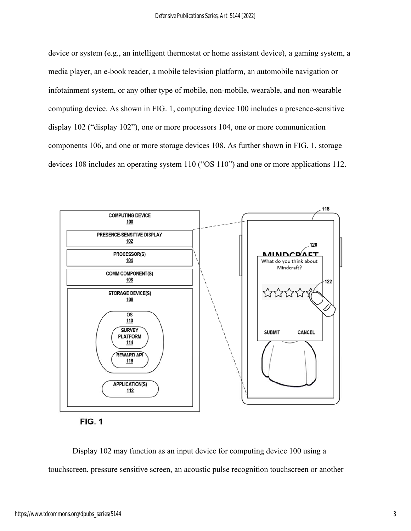device or system (e.g., an intelligent thermostat or home assistant device), a gaming system, a media player, an e-book reader, a mobile television platform, an automobile navigation or infotainment system, or any other type of mobile, non-mobile, wearable, and non-wearable computing device. As shown in FIG. 1, computing device 100 includes a presence-sensitive display 102 ("display 102"), one or more processors 104, one or more communication components 106, and one or more storage devices 108. As further shown in FIG. 1, storage devices 108 includes an operating system 110 ("OS 110") and one or more applications 112.



**FIG. 1** 

Display 102 may function as an input device for computing device 100 using a touchscreen, pressure sensitive screen, an acoustic pulse recognition touchscreen or another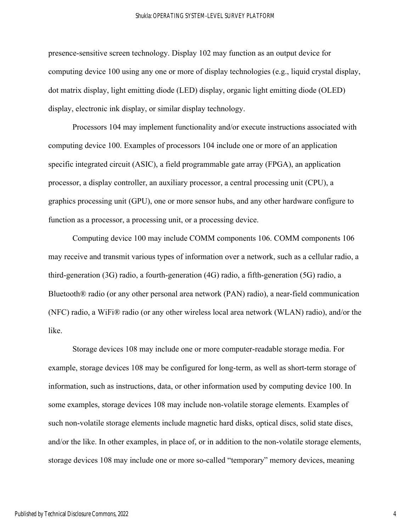presence-sensitive screen technology. Display 102 may function as an output device for computing device 100 using any one or more of display technologies (e.g., liquid crystal display, dot matrix display, light emitting diode (LED) display, organic light emitting diode (OLED) display, electronic ink display, or similar display technology.

Processors 104 may implement functionality and/or execute instructions associated with computing device 100. Examples of processors 104 include one or more of an application specific integrated circuit (ASIC), a field programmable gate array (FPGA), an application processor, a display controller, an auxiliary processor, a central processing unit (CPU), a graphics processing unit (GPU), one or more sensor hubs, and any other hardware configure to function as a processor, a processing unit, or a processing device.

Computing device 100 may include COMM components 106. COMM components 106 may receive and transmit various types of information over a network, such as a cellular radio, a third-generation (3G) radio, a fourth-generation (4G) radio, a fifth-generation (5G) radio, a Bluetooth® radio (or any other personal area network (PAN) radio), a near-field communication (NFC) radio, a WiFi® radio (or any other wireless local area network (WLAN) radio), and/or the like.

Storage devices 108 may include one or more computer-readable storage media. For example, storage devices 108 may be configured for long-term, as well as short-term storage of information, such as instructions, data, or other information used by computing device 100. In some examples, storage devices 108 may include non-volatile storage elements. Examples of such non-volatile storage elements include magnetic hard disks, optical discs, solid state discs, and/or the like. In other examples, in place of, or in addition to the non-volatile storage elements, storage devices 108 may include one or more so-called "temporary" memory devices, meaning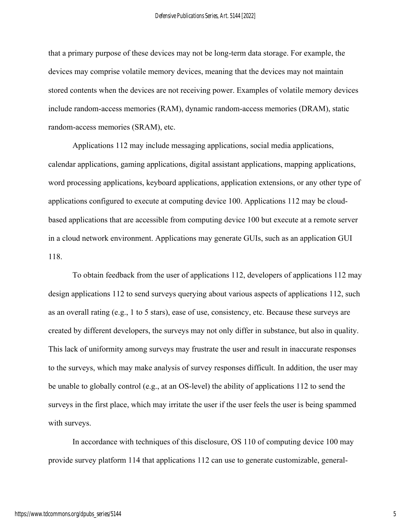that a primary purpose of these devices may not be long-term data storage. For example, the devices may comprise volatile memory devices, meaning that the devices may not maintain stored contents when the devices are not receiving power. Examples of volatile memory devices include random-access memories (RAM), dynamic random-access memories (DRAM), static random-access memories (SRAM), etc.

Applications 112 may include messaging applications, social media applications, calendar applications, gaming applications, digital assistant applications, mapping applications, word processing applications, keyboard applications, application extensions, or any other type of applications configured to execute at computing device 100. Applications 112 may be cloudbased applications that are accessible from computing device 100 but execute at a remote server in a cloud network environment. Applications may generate GUIs, such as an application GUI 118.

To obtain feedback from the user of applications 112, developers of applications 112 may design applications 112 to send surveys querying about various aspects of applications 112, such as an overall rating (e.g., 1 to 5 stars), ease of use, consistency, etc. Because these surveys are created by different developers, the surveys may not only differ in substance, but also in quality. This lack of uniformity among surveys may frustrate the user and result in inaccurate responses to the surveys, which may make analysis of survey responses difficult. In addition, the user may be unable to globally control (e.g., at an OS-level) the ability of applications 112 to send the surveys in the first place, which may irritate the user if the user feels the user is being spammed with surveys.

In accordance with techniques of this disclosure, OS 110 of computing device 100 may provide survey platform 114 that applications 112 can use to generate customizable, general-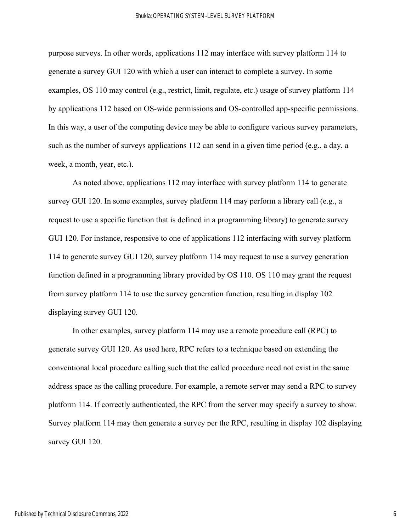purpose surveys. In other words, applications 112 may interface with survey platform 114 to generate a survey GUI 120 with which a user can interact to complete a survey. In some examples, OS 110 may control (e.g., restrict, limit, regulate, etc.) usage of survey platform 114 by applications 112 based on OS-wide permissions and OS-controlled app-specific permissions. In this way, a user of the computing device may be able to configure various survey parameters, such as the number of surveys applications 112 can send in a given time period (e.g., a day, a week, a month, year, etc.).

As noted above, applications 112 may interface with survey platform 114 to generate survey GUI 120. In some examples, survey platform 114 may perform a library call (e.g., a request to use a specific function that is defined in a programming library) to generate survey GUI 120. For instance, responsive to one of applications 112 interfacing with survey platform 114 to generate survey GUI 120, survey platform 114 may request to use a survey generation function defined in a programming library provided by OS 110. OS 110 may grant the request from survey platform 114 to use the survey generation function, resulting in display 102 displaying survey GUI 120.

In other examples, survey platform 114 may use a remote procedure call (RPC) to generate survey GUI 120. As used here, RPC refers to a technique based on extending the conventional local procedure calling such that the called procedure need not exist in the same address space as the calling procedure. For example, a remote server may send a RPC to survey platform 114. If correctly authenticated, the RPC from the server may specify a survey to show. Survey platform 114 may then generate a survey per the RPC, resulting in display 102 displaying survey GUI 120.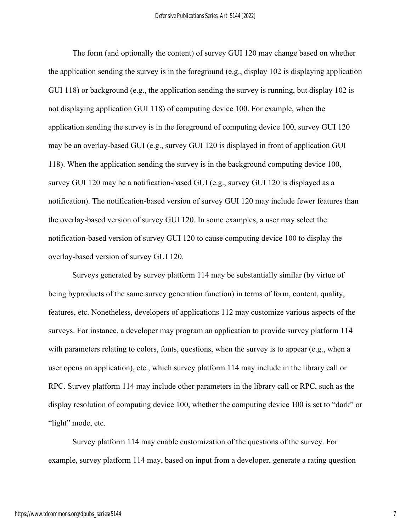The form (and optionally the content) of survey GUI 120 may change based on whether the application sending the survey is in the foreground (e.g., display 102 is displaying application GUI 118) or background (e.g., the application sending the survey is running, but display 102 is not displaying application GUI 118) of computing device 100. For example, when the application sending the survey is in the foreground of computing device 100, survey GUI 120 may be an overlay-based GUI (e.g., survey GUI 120 is displayed in front of application GUI 118). When the application sending the survey is in the background computing device 100, survey GUI 120 may be a notification-based GUI (e.g., survey GUI 120 is displayed as a notification). The notification-based version of survey GUI 120 may include fewer features than the overlay-based version of survey GUI 120. In some examples, a user may select the notification-based version of survey GUI 120 to cause computing device 100 to display the overlay-based version of survey GUI 120.

Surveys generated by survey platform 114 may be substantially similar (by virtue of being byproducts of the same survey generation function) in terms of form, content, quality, features, etc. Nonetheless, developers of applications 112 may customize various aspects of the surveys. For instance, a developer may program an application to provide survey platform 114 with parameters relating to colors, fonts, questions, when the survey is to appear (e.g., when a user opens an application), etc., which survey platform 114 may include in the library call or RPC. Survey platform 114 may include other parameters in the library call or RPC, such as the display resolution of computing device 100, whether the computing device 100 is set to "dark" or "light" mode, etc.

Survey platform 114 may enable customization of the questions of the survey. For example, survey platform 114 may, based on input from a developer, generate a rating question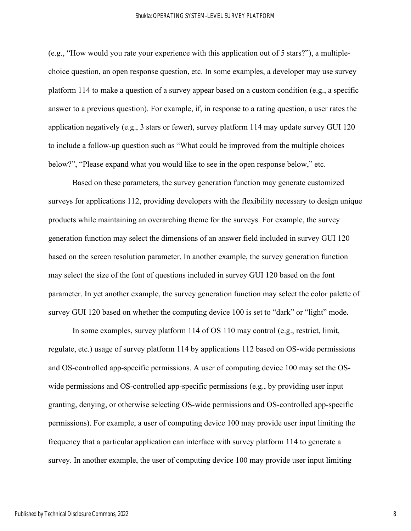(e.g., "How would you rate your experience with this application out of 5 stars?"), a multiplechoice question, an open response question, etc. In some examples, a developer may use survey platform 114 to make a question of a survey appear based on a custom condition (e.g., a specific answer to a previous question). For example, if, in response to a rating question, a user rates the application negatively (e.g., 3 stars or fewer), survey platform 114 may update survey GUI 120 to include a follow-up question such as "What could be improved from the multiple choices below?", "Please expand what you would like to see in the open response below," etc.

Based on these parameters, the survey generation function may generate customized surveys for applications 112, providing developers with the flexibility necessary to design unique products while maintaining an overarching theme for the surveys. For example, the survey generation function may select the dimensions of an answer field included in survey GUI 120 based on the screen resolution parameter. In another example, the survey generation function may select the size of the font of questions included in survey GUI 120 based on the font parameter. In yet another example, the survey generation function may select the color palette of survey GUI 120 based on whether the computing device 100 is set to "dark" or "light" mode.

In some examples, survey platform 114 of OS 110 may control (e.g., restrict, limit, regulate, etc.) usage of survey platform 114 by applications 112 based on OS-wide permissions and OS-controlled app-specific permissions. A user of computing device 100 may set the OSwide permissions and OS-controlled app-specific permissions (e.g., by providing user input granting, denying, or otherwise selecting OS-wide permissions and OS-controlled app-specific permissions). For example, a user of computing device 100 may provide user input limiting the frequency that a particular application can interface with survey platform 114 to generate a survey. In another example, the user of computing device 100 may provide user input limiting

8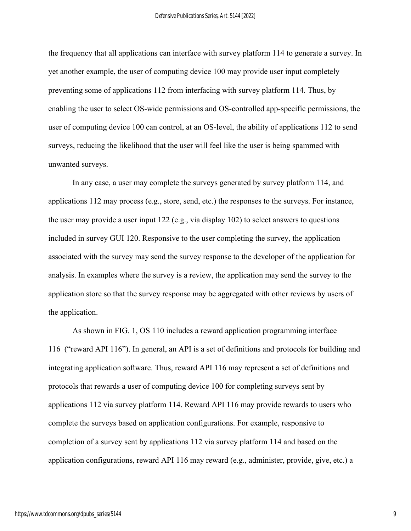the frequency that all applications can interface with survey platform 114 to generate a survey. In yet another example, the user of computing device 100 may provide user input completely preventing some of applications 112 from interfacing with survey platform 114. Thus, by enabling the user to select OS-wide permissions and OS-controlled app-specific permissions, the user of computing device 100 can control, at an OS-level, the ability of applications 112 to send surveys, reducing the likelihood that the user will feel like the user is being spammed with unwanted surveys.

In any case, a user may complete the surveys generated by survey platform 114, and applications 112 may process (e.g., store, send, etc.) the responses to the surveys. For instance, the user may provide a user input 122 (e.g., via display 102) to select answers to questions included in survey GUI 120. Responsive to the user completing the survey, the application associated with the survey may send the survey response to the developer of the application for analysis. In examples where the survey is a review, the application may send the survey to the application store so that the survey response may be aggregated with other reviews by users of the application.

As shown in FIG. 1, OS 110 includes a reward application programming interface 116 ("reward API 116"). In general, an API is a set of definitions and protocols for building and integrating application software. Thus, reward API 116 may represent a set of definitions and protocols that rewards a user of computing device 100 for completing surveys sent by applications 112 via survey platform 114. Reward API 116 may provide rewards to users who complete the surveys based on application configurations. For example, responsive to completion of a survey sent by applications 112 via survey platform 114 and based on the application configurations, reward API 116 may reward (e.g., administer, provide, give, etc.) a

9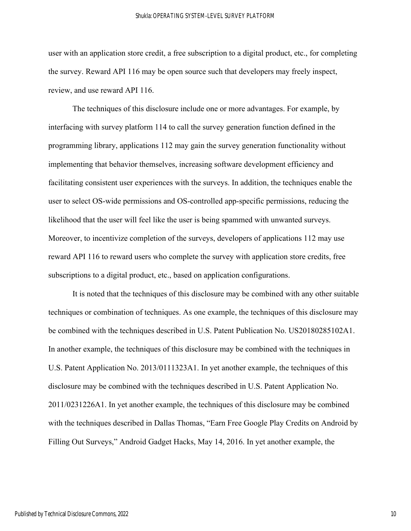user with an application store credit, a free subscription to a digital product, etc., for completing the survey. Reward API 116 may be open source such that developers may freely inspect, review, and use reward API 116.

The techniques of this disclosure include one or more advantages. For example, by interfacing with survey platform 114 to call the survey generation function defined in the programming library, applications 112 may gain the survey generation functionality without implementing that behavior themselves, increasing software development efficiency and facilitating consistent user experiences with the surveys. In addition, the techniques enable the user to select OS-wide permissions and OS-controlled app-specific permissions, reducing the likelihood that the user will feel like the user is being spammed with unwanted surveys. Moreover, to incentivize completion of the surveys, developers of applications 112 may use reward API 116 to reward users who complete the survey with application store credits, free subscriptions to a digital product, etc., based on application configurations.

It is noted that the techniques of this disclosure may be combined with any other suitable techniques or combination of techniques. As one example, the techniques of this disclosure may be combined with the techniques described in U.S. Patent Publication No. US20180285102A1. In another example, the techniques of this disclosure may be combined with the techniques in U.S. Patent Application No. 2013/0111323A1. In yet another example, the techniques of this disclosure may be combined with the techniques described in U.S. Patent Application No. 2011/0231226A1. In yet another example, the techniques of this disclosure may be combined with the techniques described in Dallas Thomas, "Earn Free Google Play Credits on Android by Filling Out Surveys," Android Gadget Hacks, May 14, 2016. In yet another example, the